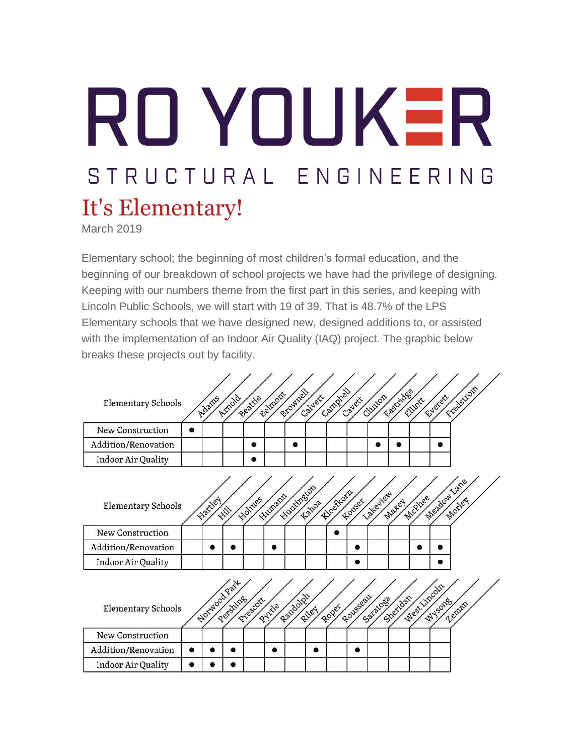# RO YOUKER STRUCTURAL ENGINEERING It's Elementary!

March 2019

Elementary school; the beginning of most children's formal education, and the beginning of our breakdown of school projects we have had the privilege of designing. Keeping with our numbers theme from the first part in this series, and keeping with Lincoln Public Schools, we will start with 19 of 39. That is 48.7% of the LPS Elementary schools that we have designed new, designed additions to, or assisted with the implementation of an Indoor Air Quality (IAQ) project. The graphic below breaks these projects out by facility.